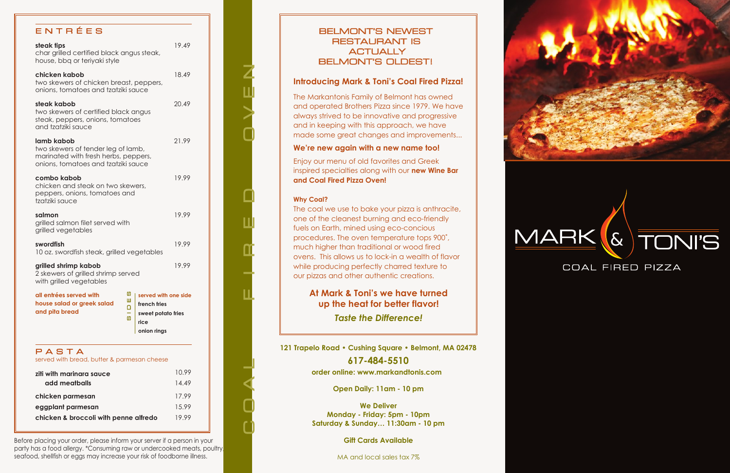Before placing your order, please inform your server if a person in your party has a food allergy. \*Consuming raw or undercooked meats, poultry, seafood, shellfish or eggs may increase your risk of foodborne illness.

**121 Trapelo Road • Cushing Square • Belmont, MA 02478 617-484-5510**

**order online: www.markandtonis.com**

**Open Daily: 11am - 10 pm**

**We Deliver Monday - Friday: 5pm - 10pm Saturday & Sunday… 11:30am - 10 pm**

**Gift Cards Available**

MA and local sales tax 7%



# E N T R É E S

| all entrées served with<br>house salad or greek salad<br>and pita bread                                                         | ທ<br>ш<br>∩<br>$\omega$ | served with one side<br>french fries<br>sweet potato fries<br>rice<br>onion rings |       |
|---------------------------------------------------------------------------------------------------------------------------------|-------------------------|-----------------------------------------------------------------------------------|-------|
| grilled shrimp kabob<br>2 skewers of grilled shrimp served<br>with grilled vegetables                                           |                         |                                                                                   | 19.99 |
| swordfish<br>10 oz. swordfish steak, grilled vegetables                                                                         |                         |                                                                                   | 19.99 |
| salmon<br>grilled salmon filet served with<br>grilled vegetables                                                                |                         |                                                                                   | 19.99 |
| combo kabob<br>chicken and steak on two skewers,<br>peppers, onions, tomatoes and<br>tzatziki sauce                             |                         |                                                                                   | 19.99 |
| lamb kabob<br>two skewers of tender leg of lamb,<br>marinated with fresh herbs, peppers,<br>onions, tomatoes and tzatziki sauce |                         |                                                                                   | 21.99 |
| steak kabob<br>two skewers of certified black angus<br>steak, peppers, onions, tomatoes<br>and tzatziki sauce                   |                         |                                                                                   | 20.49 |
| chicken kabob<br>two skewers of chicken breast, peppers,<br>onions, tomatoes and tzatziki sauce                                 |                         |                                                                                   | 18.49 |
| steak tips<br>char grilled certified black angus steak,<br>house, bbq or teriyaki style                                         |                         |                                                                                   | 19.49 |

served with bread, butter & parmesan cheese

| ziti with marinara sauce              | 10.99 |
|---------------------------------------|-------|
| add meatballs                         | 14.49 |
| chicken parmesan                      | 17.99 |
| eggplant parmesan                     | 15.99 |
| chicken & broccoli with penne alfredo | 19.99 |

### BELMONT'S NEWEST RESTAURANT IS **ACTUALLY** BELMONT'S OLDEST!

#### **Introducing Mark & Toni's Coal Fired Pizza!**

The Markantonis Family of Belmont has owned and operated Brothers Pizza since 1979. We have always strived to be innovative and progressive and in keeping with this approach, we have made some great changes and improvements...

#### **We're new again with a new name too!**

Enjoy our menu of old favorites and Greek inspired specialties along with our **new Wine Bar and Coal Fired Pizza Oven!**

#### **Why Coal?**

C O A L F I R E D<br>O<br>O<br>O<br>O

The coal we use to bake your pizza is anthracite, one of the cleanest burning and eco-friendly fuels on Earth, mined using eco-concious procedures. The oven temperature tops 900˚, much higher than traditional or wood fired ovens. This allows us to lock-in a wealth of flavor while producing perfectly charred texture to our pizzas and other authentic creations.

**At Mark & Toni's we have turned up the heat for better flavor!**  *Taste the Difference!*